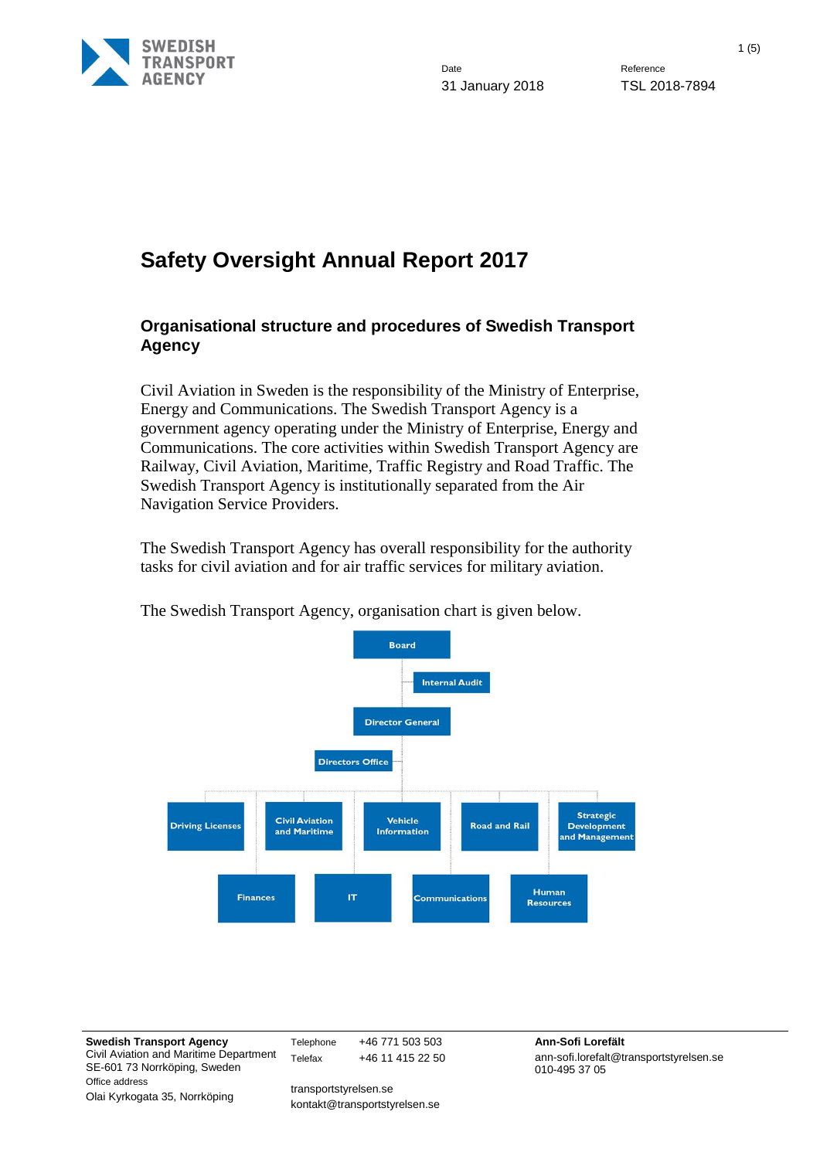

# **Safety Oversight Annual Report 2017**

### **Organisational structure and procedures of Swedish Transport Agency**

Civil Aviation in Sweden is the responsibility of the Ministry of Enterprise, Energy and Communications. The Swedish Transport Agency is a government agency operating under the Ministry of Enterprise, Energy and Communications. The core activities within Swedish Transport Agency are Railway, Civil Aviation, Maritime, Traffic Registry and Road Traffic. The Swedish Transport Agency is institutionally separated from the Air Navigation Service Providers.

The Swedish Transport Agency has overall responsibility for the authority tasks for civil aviation and for air traffic services for military aviation.



The Swedish Transport Agency, organisation chart is given below.

**Swedish Transport Agency** Civil Aviation and Maritime Department SE-601 73 Norrköping, Sweden Office address Olai Kyrkogata 35, Norrköping

Telephone +46 771 503 503 **Ann-Sofi Lorefält** Telefax +46 11 415 22 50

transportstyrelsen.se kontakt@transportstyrelsen.se ann-sofi.lorefalt@transportstyrelsen.se 010-495 37 05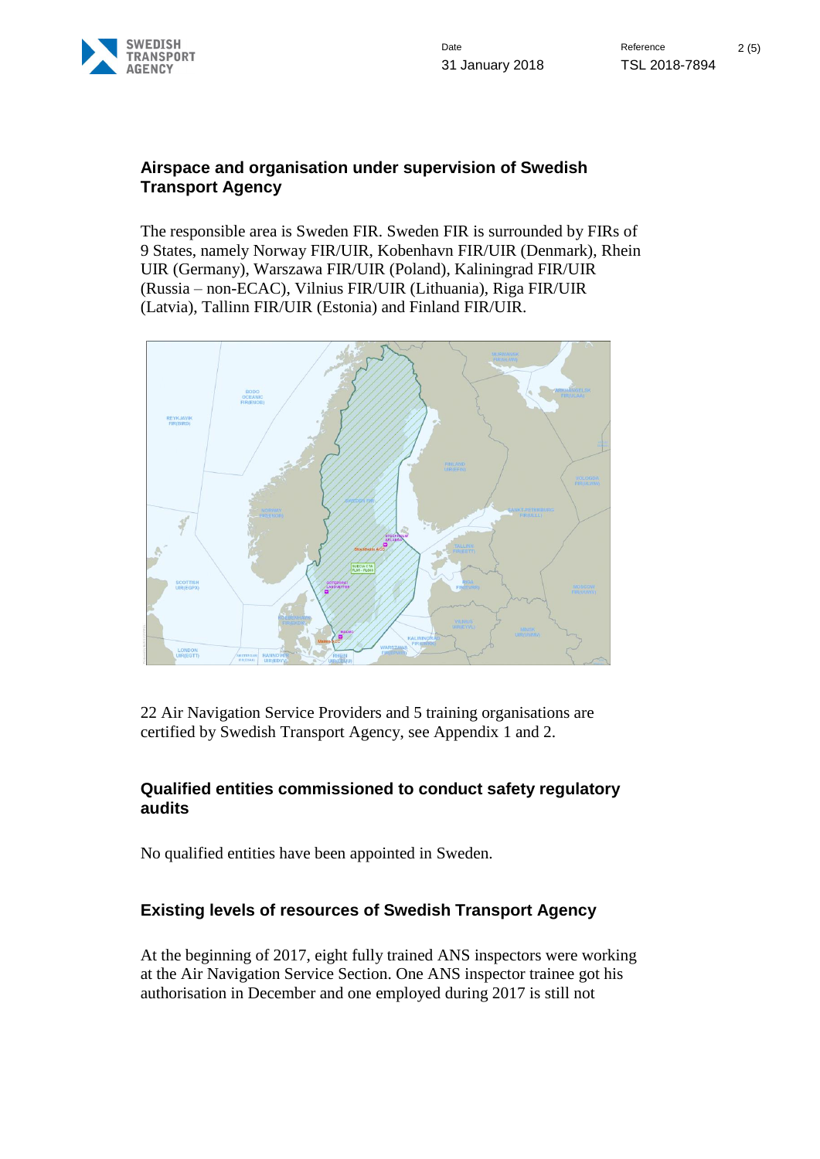

#### **Airspace and organisation under supervision of Swedish Transport Agency**

The responsible area is Sweden FIR. Sweden FIR is surrounded by FIRs of 9 States, namely Norway FIR/UIR, Kobenhavn FIR/UIR (Denmark), Rhein UIR (Germany), Warszawa FIR/UIR (Poland), Kaliningrad FIR/UIR (Russia – non-ECAC), Vilnius FIR/UIR (Lithuania), Riga FIR/UIR (Latvia), Tallinn FIR/UIR (Estonia) and Finland FIR/UIR.



22 Air Navigation Service Providers and 5 training organisations are certified by Swedish Transport Agency, see Appendix 1 and 2.

## **Qualified entities commissioned to conduct safety regulatory audits**

No qualified entities have been appointed in Sweden.

## **Existing levels of resources of Swedish Transport Agency**

At the beginning of 2017, eight fully trained ANS inspectors were working at the Air Navigation Service Section. One ANS inspector trainee got his authorisation in December and one employed during 2017 is still not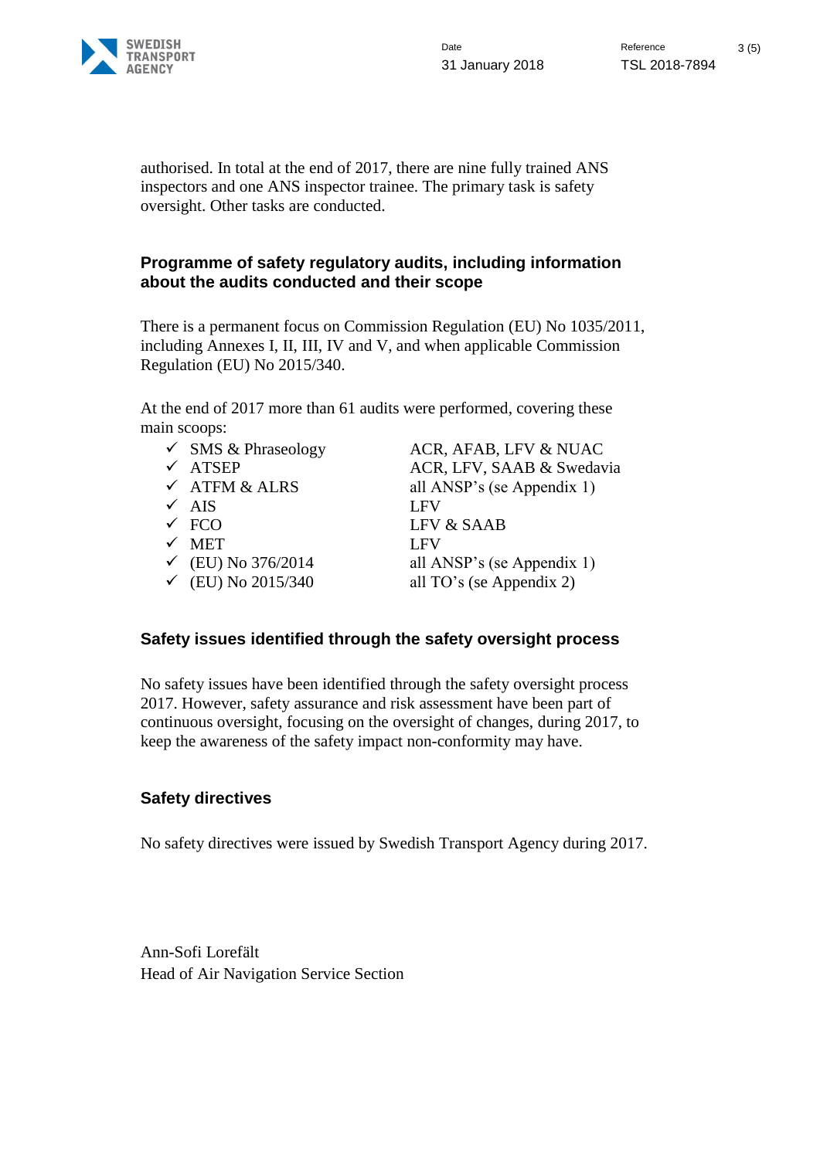

authorised. In total at the end of 2017, there are nine fully trained ANS inspectors and one ANS inspector trainee. The primary task is safety oversight. Other tasks are conducted.

### **Programme of safety regulatory audits, including information about the audits conducted and their scope**

There is a permanent focus on Commission Regulation (EU) No 1035/2011, including Annexes I, II, III, IV and V, and when applicable Commission Regulation (EU) No 2015/340.

At the end of 2017 more than 61 audits were performed, covering these main scoops:

| $\checkmark$ SMS & Phraseology | ACR, AFAB, LFV & NUAC      |
|--------------------------------|----------------------------|
| $\checkmark$ ATSEP             | ACR, LFV, SAAB & Swedavia  |
| $\checkmark$ ATFM & ALRS       | all ANSP's (se Appendix 1) |
| $\times$ AIS                   | <b>LFV</b>                 |
| $\times$ FCO                   | LFV & SAAB                 |
| $\times$ MET                   | <b>LFV</b>                 |
| $\checkmark$ (EU) No 376/2014  | all ANSP's (se Appendix 1) |
| $\checkmark$ (EU) No 2015/340  | all TO's (se Appendix 2)   |
|                                |                            |

## **Safety issues identified through the safety oversight process**

No safety issues have been identified through the safety oversight process 2017. However, safety assurance and risk assessment have been part of continuous oversight, focusing on the oversight of changes, during 2017, to keep the awareness of the safety impact non-conformity may have.

## **Safety directives**

No safety directives were issued by Swedish Transport Agency during 2017.

Ann-Sofi Lorefält Head of Air Navigation Service Section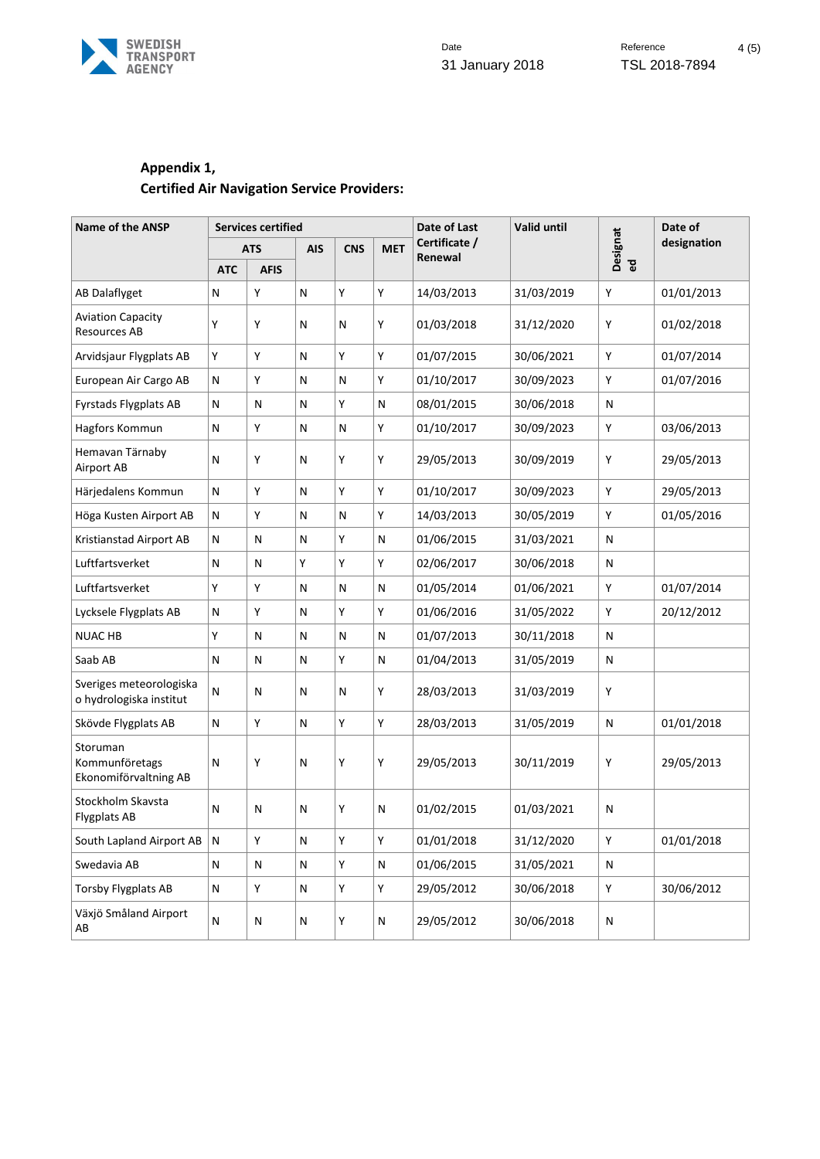

## **Appendix 1, Certified Air Navigation Service Providers:**

| <b>Name of the ANSP</b>                             | <b>Services certified</b> |             |            |              |              | Date of Last             | <b>Valid until</b> |              | Date of     |
|-----------------------------------------------------|---------------------------|-------------|------------|--------------|--------------|--------------------------|--------------------|--------------|-------------|
|                                                     | <b>ATS</b>                |             | <b>AIS</b> | <b>CNS</b>   | <b>MET</b>   | Certificate /<br>Renewal |                    | Designat     | designation |
|                                                     | <b>ATC</b>                | <b>AFIS</b> |            |              |              |                          |                    | ිත<br>ම      |             |
| AB Dalaflyget                                       | N                         | Y           | N          | Y            | Υ            | 14/03/2013               | 31/03/2019         | Y            | 01/01/2013  |
| <b>Aviation Capacity</b><br>Resources AB            | Y                         | Υ           | N          | N            | Υ            | 01/03/2018               | 31/12/2020         | Υ            | 01/02/2018  |
| Arvidsjaur Flygplats AB                             | Υ                         | Υ           | N          | Υ            | Υ            | 01/07/2015               | 30/06/2021         | Υ            | 01/07/2014  |
| European Air Cargo AB                               | $\mathsf{N}$              | Y           | N          | $\mathsf{N}$ | Υ            | 01/10/2017               | 30/09/2023         | Υ            | 01/07/2016  |
| <b>Fyrstads Flygplats AB</b>                        | N                         | N           | N          | Y            | $\mathsf{N}$ | 08/01/2015               | 30/06/2018         | $\mathsf{N}$ |             |
| Hagfors Kommun                                      | N                         | Υ           | N          | N            | Υ            | 01/10/2017               | 30/09/2023         | Υ            | 03/06/2013  |
| Hemavan Tärnaby<br>Airport AB                       | N                         | Y           | N          | Y            | Υ            | 29/05/2013               | 30/09/2019         | Υ            | 29/05/2013  |
| Härjedalens Kommun                                  | N                         | Y           | N          | Υ            | Υ            | 01/10/2017               | 30/09/2023         | Υ            | 29/05/2013  |
| Höga Kusten Airport AB                              | N                         | Υ           | N          | N            | Y            | 14/03/2013               | 30/05/2019         | Y            | 01/05/2016  |
| Kristianstad Airport AB                             | Ν                         | Ν           | Ν          | Y            | $\mathsf{N}$ | 01/06/2015               | 31/03/2021         | N            |             |
| Luftfartsverket                                     | N                         | N           | Y          | Υ            | Υ            | 02/06/2017               | 30/06/2018         | $\mathsf{N}$ |             |
| Luftfartsverket                                     | Y                         | Υ           | N          | N            | $\mathsf{N}$ | 01/05/2014               | 01/06/2021         | Υ            | 01/07/2014  |
| Lycksele Flygplats AB                               | N                         | Υ           | N          | Υ            | Υ            | 01/06/2016               | 31/05/2022         | Υ            | 20/12/2012  |
| <b>NUAC HB</b>                                      | Υ                         | N           | N          | ${\sf N}$    | $\mathsf{N}$ | 01/07/2013               | 30/11/2018         | N            |             |
| Saab AB                                             | N                         | N           | N          | Υ            | $\mathsf{N}$ | 01/04/2013               | 31/05/2019         | N            |             |
| Sveriges meteorologiska<br>o hydrologiska institut  | N                         | N           | N          | N            | Υ            | 28/03/2013               | 31/03/2019         | Υ            |             |
| Skövde Flygplats AB                                 | N                         | Υ           | N          | Υ            | Υ            | 28/03/2013               | 31/05/2019         | N            | 01/01/2018  |
| Storuman<br>Kommunföretags<br>Ekonomiförvaltning AB | N                         | Υ           | N          | Υ            | Υ            | 29/05/2013               | 30/11/2019         | Υ            | 29/05/2013  |
| Stockholm Skavsta<br><b>Flygplats AB</b>            | N                         | N           | N          | Y            | N            | 01/02/2015               | 01/03/2021         | N            |             |
| South Lapland Airport AB                            | ${\sf N}$                 | Υ           | ${\sf N}$  | Υ            | Υ            | 01/01/2018               | 31/12/2020         | Υ            | 01/01/2018  |
| Swedavia AB                                         | N                         | N           | N          | Υ            | ${\sf N}$    | 01/06/2015               | 31/05/2021         | N            |             |
| Torsby Flygplats AB                                 | N                         | Υ           | N          | Υ            | Υ            | 29/05/2012               | 30/06/2018         | $\mathsf Y$  | 30/06/2012  |
| Växjö Småland Airport<br>AB                         | ${\sf N}$                 | N           | N          | Υ            | ${\sf N}$    | 29/05/2012               | 30/06/2018         | ${\sf N}$    |             |